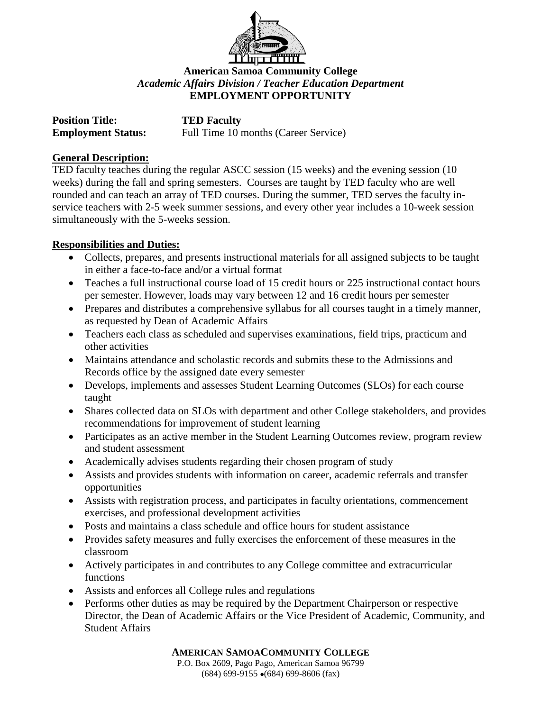

# **American Samoa Community College** *Academic Affairs Division / Teacher Education Department* **EMPLOYMENT OPPORTUNITY**

| <b>Position Title:</b>    | <b>TED Faculty</b>                   |
|---------------------------|--------------------------------------|
| <b>Employment Status:</b> | Full Time 10 months (Career Service) |

### **General Description:**

TED faculty teaches during the regular ASCC session (15 weeks) and the evening session (10 weeks) during the fall and spring semesters. Courses are taught by TED faculty who are well rounded and can teach an array of TED courses. During the summer, TED serves the faculty inservice teachers with 2-5 week summer sessions, and every other year includes a 10-week session simultaneously with the 5-weeks session.

# **Responsibilities and Duties:**

- Collects, prepares, and presents instructional materials for all assigned subjects to be taught in either a face-to-face and/or a virtual format
- Teaches a full instructional course load of 15 credit hours or 225 instructional contact hours per semester. However, loads may vary between 12 and 16 credit hours per semester
- Prepares and distributes a comprehensive syllabus for all courses taught in a timely manner, as requested by Dean of Academic Affairs
- Teachers each class as scheduled and supervises examinations, field trips, practicum and other activities
- Maintains attendance and scholastic records and submits these to the Admissions and Records office by the assigned date every semester
- Develops, implements and assesses Student Learning Outcomes (SLOs) for each course taught
- Shares collected data on SLOs with department and other College stakeholders, and provides recommendations for improvement of student learning
- Participates as an active member in the Student Learning Outcomes review, program review and student assessment
- Academically advises students regarding their chosen program of study
- Assists and provides students with information on career, academic referrals and transfer opportunities
- Assists with registration process, and participates in faculty orientations, commencement exercises, and professional development activities
- Posts and maintains a class schedule and office hours for student assistance
- Provides safety measures and fully exercises the enforcement of these measures in the classroom
- Actively participates in and contributes to any College committee and extracurricular functions
- Assists and enforces all College rules and regulations
- Performs other duties as may be required by the Department Chairperson or respective Director, the Dean of Academic Affairs or the Vice President of Academic, Community, and Student Affairs

**AMERICAN SAMOACOMMUNITY COLLEGE**

P.O. Box 2609, Pago Pago, American Samoa 96799  $(684)$  699-9155  $\bullet$  (684) 699-8606 (fax)